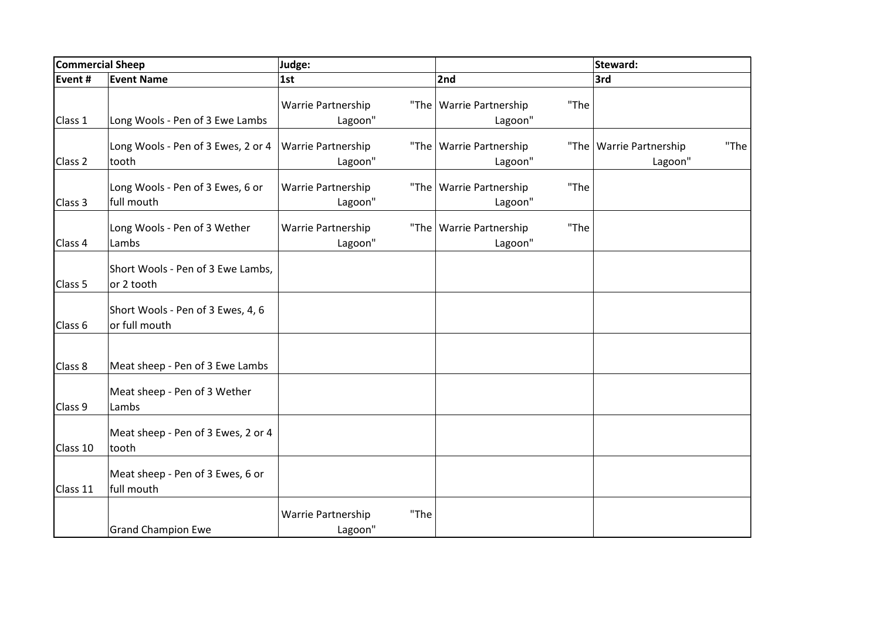| <b>Commercial Sheep</b> |                                                    | Judge:                     |                                   | Steward:                          |  |
|-------------------------|----------------------------------------------------|----------------------------|-----------------------------------|-----------------------------------|--|
| Event #                 | <b>Event Name</b>                                  | 1st                        | 2nd                               | 3rd                               |  |
|                         |                                                    | Warrie Partnership         | "The   Warrie Partnership<br>"The |                                   |  |
| Class 1                 | Long Wools - Pen of 3 Ewe Lambs                    | Lagoon"                    | Lagoon"                           |                                   |  |
|                         | Long Wools - Pen of 3 Ewes, 2 or 4                 | Warrie Partnership         | "The   Warrie Partnership         | "The<br>"The   Warrie Partnership |  |
| Class <sub>2</sub>      | tooth                                              | Lagoon"                    | Lagoon"                           | Lagoon"                           |  |
|                         | Long Wools - Pen of 3 Ewes, 6 or                   | Warrie Partnership         | "The<br>"The   Warrie Partnership |                                   |  |
| Class 3                 | full mouth                                         | Lagoon"                    | Lagoon"                           |                                   |  |
|                         | Long Wools - Pen of 3 Wether                       | Warrie Partnership         | "The<br>"The   Warrie Partnership |                                   |  |
| Class 4                 | Lambs                                              | Lagoon"                    | Lagoon"                           |                                   |  |
| Class 5                 | Short Wools - Pen of 3 Ewe Lambs,<br>or 2 tooth    |                            |                                   |                                   |  |
| Class 6                 | Short Wools - Pen of 3 Ewes, 4, 6<br>or full mouth |                            |                                   |                                   |  |
|                         |                                                    |                            |                                   |                                   |  |
| Class 8                 | Meat sheep - Pen of 3 Ewe Lambs                    |                            |                                   |                                   |  |
| Class 9                 | Meat sheep - Pen of 3 Wether<br>Lambs              |                            |                                   |                                   |  |
| Class 10                | Meat sheep - Pen of 3 Ewes, 2 or 4<br>tooth        |                            |                                   |                                   |  |
| Class 11                | Meat sheep - Pen of 3 Ewes, 6 or<br>full mouth     |                            |                                   |                                   |  |
|                         |                                                    | Warrie Partnership<br>"The |                                   |                                   |  |
|                         | <b>Grand Champion Ewe</b>                          | Lagoon"                    |                                   |                                   |  |